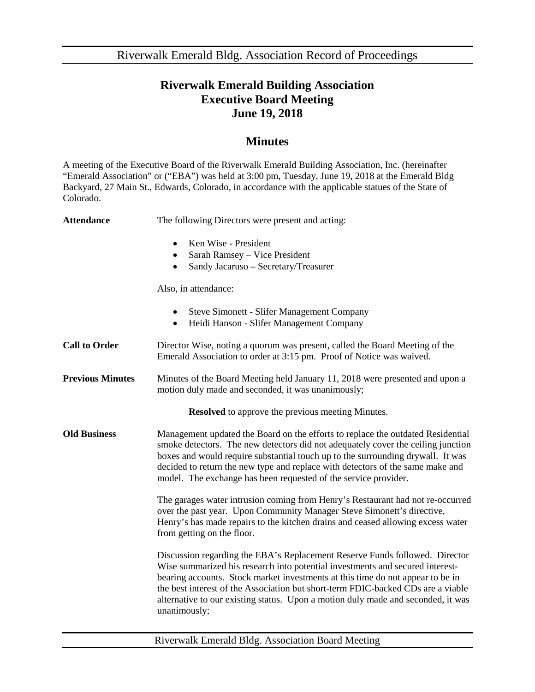Riverwalk Emerald Bldg. Association Record of Proceedings

## **Riverwalk Emerald Building Association Executive Board Meeting June 19, 2018**

## **Minutes**

A meeting of the Executive Board of the Riverwalk Emerald Building Association, Inc. (hereinafter "Emerald Association" or ("EBA") was held at 3:00 pm, Tuesday, June 19, 2018 at the Emerald Bldg Backyard, 27 Main St., Edwards, Colorado, in accordance with the applicable statues of the State of Colorado.

| <b>Attendance</b>                                        | The following Directors were present and acting:                                                                                                                                                                                                                                                                                                                                                                                       |  |
|----------------------------------------------------------|----------------------------------------------------------------------------------------------------------------------------------------------------------------------------------------------------------------------------------------------------------------------------------------------------------------------------------------------------------------------------------------------------------------------------------------|--|
|                                                          | Ken Wise - President<br>$\bullet$<br>Sarah Ramsey - Vice President<br>$\bullet$<br>Sandy Jacaruso - Secretary/Treasurer<br>$\bullet$                                                                                                                                                                                                                                                                                                   |  |
|                                                          | Also, in attendance:                                                                                                                                                                                                                                                                                                                                                                                                                   |  |
|                                                          | <b>Steve Simonett - Slifer Management Company</b><br>$\bullet$<br>Heidi Hanson - Slifer Management Company<br>$\bullet$                                                                                                                                                                                                                                                                                                                |  |
| <b>Call to Order</b>                                     | Director Wise, noting a quorum was present, called the Board Meeting of the<br>Emerald Association to order at 3:15 pm. Proof of Notice was waived.                                                                                                                                                                                                                                                                                    |  |
| <b>Previous Minutes</b>                                  | Minutes of the Board Meeting held January 11, 2018 were presented and upon a<br>motion duly made and seconded, it was unanimously;                                                                                                                                                                                                                                                                                                     |  |
| <b>Resolved</b> to approve the previous meeting Minutes. |                                                                                                                                                                                                                                                                                                                                                                                                                                        |  |
| <b>Old Business</b>                                      | Management updated the Board on the efforts to replace the outdated Residential<br>smoke detectors. The new detectors did not adequately cover the ceiling junction<br>boxes and would require substantial touch up to the surrounding drywall. It was<br>decided to return the new type and replace with detectors of the same make and<br>model. The exchange has been requested of the service provider.                            |  |
|                                                          | The garages water intrusion coming from Henry's Restaurant had not re-occurred<br>over the past year. Upon Community Manager Steve Simonett's directive,<br>Henry's has made repairs to the kitchen drains and ceased allowing excess water<br>from getting on the floor.                                                                                                                                                              |  |
|                                                          | Discussion regarding the EBA's Replacement Reserve Funds followed. Director<br>Wise summarized his research into potential investments and secured interest-<br>bearing accounts. Stock market investments at this time do not appear to be in<br>the best interest of the Association but short-term FDIC-backed CDs are a viable<br>alternative to our existing status. Upon a motion duly made and seconded, it was<br>unanimously; |  |